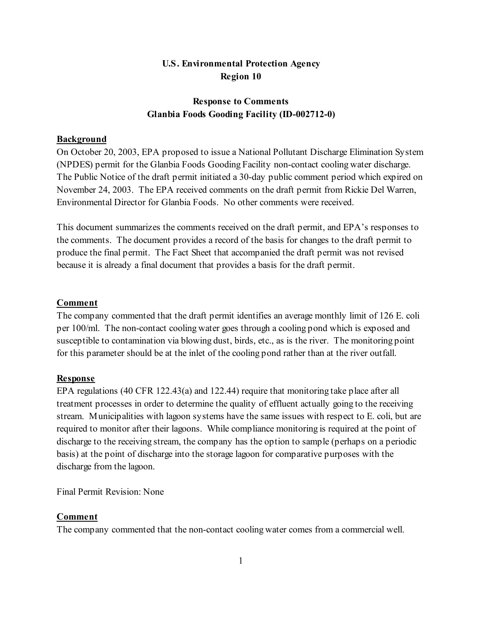# **U.S. Environmental Protection Agency Region 10**

# **Response to Comments Glanbia Foods Gooding Facility (ID-002712-0)**

# **Background**

On October 20, 2003, EPA proposed to issue a National Pollutant Discharge Elimination System (NPDES) permit for the Glanbia Foods Gooding Facility non-contact cooling water discharge. The Public Notice of the draft permit initiated a 30-day public comment period which expired on November 24, 2003. The EPA received comments on the draft permit from Rickie Del Warren, Environmental Director for Glanbia Foods. No other comments were received.

This document summarizes the comments received on the draft permit, and EPA's responses to the comments. The document provides a record of the basis for changes to the draft permit to produce the final permit. The Fact Sheet that accompanied the draft permit was not revised because it is already a final document that provides a basis for the draft permit.

## **Comment**

The company commented that the draft permit identifies an average monthly limit of 126 E. coli per 100/ml. The non-contact cooling water goes through a cooling pond which is exposed and susceptible to contamination via blowing dust, birds, etc., as is the river. The monitoring point for this parameter should be at the inlet of the cooling pond rather than at the river outfall.

#### **Response**

EPA regulations (40 CFR 122.43(a) and 122.44) require that monitoring take place after all treatment processes in order to determine the quality of effluent actually going to the receiving stream. Municipalities with lagoon systems have the same issues with respect to E. coli, but are required to monitor after their lagoons. While compliance monitoring is required at the point of discharge to the receiving stream, the company has the option to sample (perhaps on a periodic basis) at the point of discharge into the storage lagoon for comparative purposes with the discharge from the lagoon.

Final Permit Revision: None

## **Comment**

The company commented that the non-contact cooling water comes from a commercial well.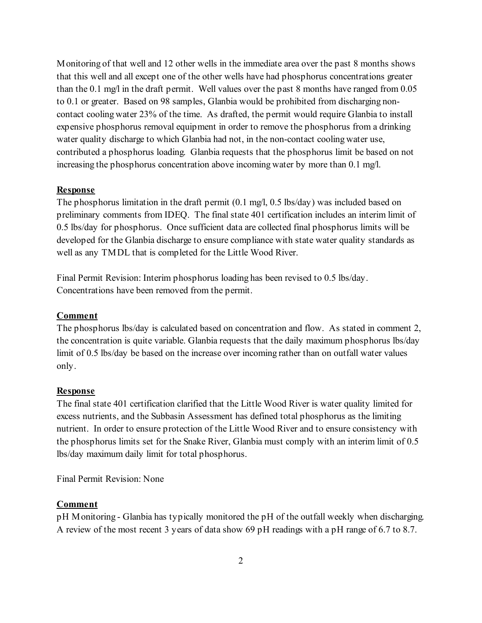Monitoring of that well and 12 other wells in the immediate area over the past 8 months shows that this well and all except one of the other wells have had phosphorus concentrations greater than the 0.1 mg/l in the draft permit. Well values over the past 8 months have ranged from 0.05 to 0.1 or greater. Based on 98 samples, Glanbia would be prohibited from discharging noncontact cooling water 23% of the time. As drafted, the permit would require Glanbia to install expensive phosphorus removal equipment in order to remove the phosphorus from a drinking water quality discharge to which Glanbia had not, in the non-contact cooling water use, contributed a phosphorus loading. Glanbia requests that the phosphorus limit be based on not increasing the phosphorus concentration above incoming water by more than 0.1 mg/l.

## **Response**

The phosphorus limitation in the draft permit (0.1 mg/l, 0.5 lbs/day) was included based on preliminary comments from IDEQ. The final state 401 certification includes an interim limit of 0.5 lbs/day for phosphorus. Once sufficient data are collected final phosphorus limits will be developed for the Glanbia discharge to ensure compliance with state water quality standards as well as any TMDL that is completed for the Little Wood River.

Final Permit Revision: Interim phosphorus loading has been revised to 0.5 lbs/day. Concentrations have been removed from the permit.

### **Comment**

The phosphorus lbs/day is calculated based on concentration and flow. As stated in comment 2, the concentration is quite variable. Glanbia requests that the daily maximum phosphorus lbs/day limit of 0.5 lbs/day be based on the increase over incoming rather than on outfall water values only.

## **Response**

The final state 401 certification clarified that the Little Wood River is water quality limited for excess nutrients, and the Subbasin Assessment has defined total phosphorus as the limiting nutrient. In order to ensure protection of the Little Wood River and to ensure consistency with the phosphorus limits set for the Snake River, Glanbia must comply with an interim limit of 0.5 lbs/day maximum daily limit for total phosphorus.

Final Permit Revision: None

#### **Comment**

pH Monitoring - Glanbia has typically monitored the pH of the outfall weekly when discharging. A review of the most recent 3 years of data show 69 pH readings with a pH range of 6.7 to 8.7.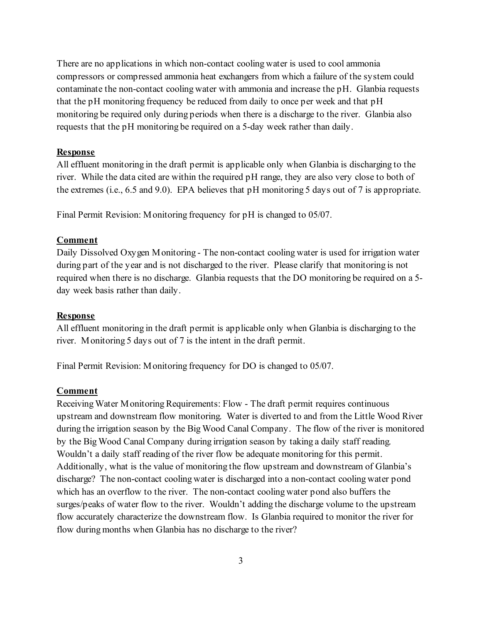There are no applications in which non-contact cooling water is used to cool ammonia compressors or compressed ammonia heat exchangers from which a failure of the system could contaminate the non-contact cooling water with ammonia and increase the pH. Glanbia requests that the pH monitoring frequency be reduced from daily to once per week and that pH monitoring be required only during periods when there is a discharge to the river. Glanbia also requests that the pH monitoring be required on a 5-day week rather than daily.

#### **Response**

All effluent monitoring in the draft permit is applicable only when Glanbia is discharging to the river. While the data cited are within the required pH range, they are also very close to both of the extremes (i.e., 6.5 and 9.0). EPA believes that pH monitoring 5 days out of 7 is appropriate.

Final Permit Revision: Monitoring frequency for pH is changed to 05/07.

# **Comment**

Daily Dissolved Oxygen Monitoring - The non-contact cooling water is used for irrigation water during part of the year and is not discharged to the river. Please clarify that monitoring is not required when there is no discharge. Glanbia requests that the DO monitoring be required on a 5 day week basis rather than daily.

#### **Response**

All effluent monitoring in the draft permit is applicable only when Glanbia is discharging to the river. Monitoring 5 days out of 7 is the intent in the draft permit.

Final Permit Revision: Monitoring frequency for DO is changed to 05/07.

# **Comment**

Receiving Water Monitoring Requirements: Flow - The draft permit requires continuous upstream and downstream flow monitoring. Water is diverted to and from the Little Wood River during the irrigation season by the Big Wood Canal Company. The flow of the river is monitored by the Big Wood Canal Company during irrigation season by taking a daily staff reading. Wouldn't a daily staff reading of the river flow be adequate monitoring for this permit. Additionally, what is the value of monitoring the flow upstream and downstream of Glanbia's discharge? The non-contact cooling water is discharged into a non-contact cooling water pond which has an overflow to the river. The non-contact cooling water pond also buffers the surges/peaks of water flow to the river. Wouldn't adding the discharge volume to the upstream flow accurately characterize the downstream flow. Is Glanbia required to monitor the river for flow during months when Glanbia has no discharge to the river?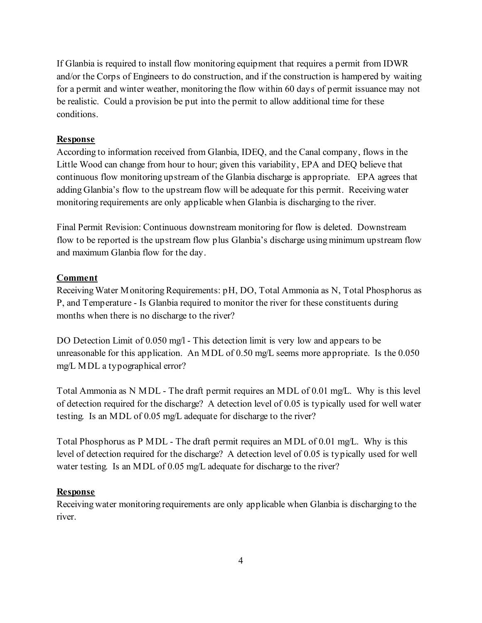If Glanbia is required to install flow monitoring equipment that requires a permit from IDWR and/or the Corps of Engineers to do construction, and if the construction is hampered by waiting for a permit and winter weather, monitoring the flow within 60 days of permit issuance may not be realistic. Could a provision be put into the permit to allow additional time for these conditions.

### **Response**

According to information received from Glanbia, IDEQ, and the Canal company, flows in the Little Wood can change from hour to hour; given this variability, EPA and DEQ believe that continuous flow monitoring upstream of the Glanbia discharge is appropriate. EPA agrees that adding Glanbia's flow to the upstream flow will be adequate for this permit. Receiving water monitoring requirements are only applicable when Glanbia is discharging to the river.

Final Permit Revision: Continuous downstream monitoring for flow is deleted. Downstream flow to be reported is the upstream flow plus Glanbia's discharge using minimum upstream flow and maximum Glanbia flow for the day.

#### **Comment**

Receiving Water Monitoring Requirements: pH, DO, Total Ammonia as N, Total Phosphorus as P, and Temperature - Is Glanbia required to monitor the river for these constituents during months when there is no discharge to the river?

DO Detection Limit of 0.050 mg/l - This detection limit is very low and appears to be unreasonable for this application. An MDL of 0.50 mg/L seems more appropriate. Is the 0.050 mg/L MDL a typographical error?

Total Ammonia as N MDL - The draft permit requires an MDL of 0.01 mg/L. Why is this level of detection required for the discharge? A detection level of 0.05 is typically used for well water testing. Is an MDL of 0.05 mg/L adequate for discharge to the river?

Total Phosphorus as P MDL - The draft permit requires an MDL of 0.01 mg/L. Why is this level of detection required for the discharge? A detection level of 0.05 is typically used for well water testing. Is an MDL of 0.05 mg/L adequate for discharge to the river?

#### **Response**

Receiving water monitoring requirements are only applicable when Glanbia is discharging to the river.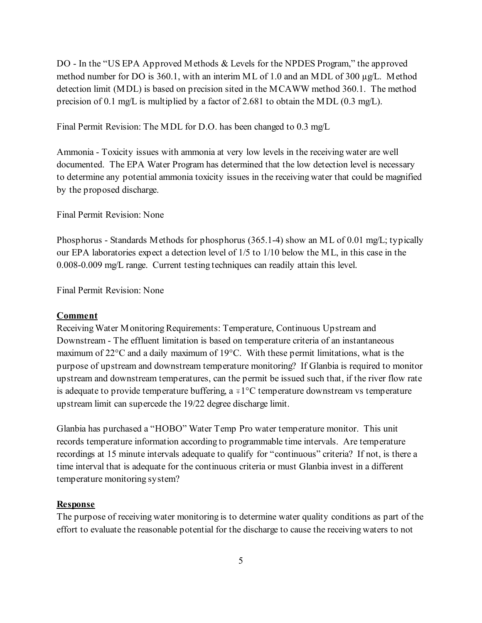DO - In the "US EPA Approved Methods & Levels for the NPDES Program," the approved method number for DO is 360.1, with an interim ML of 1.0 and an MDL of 300  $\mu g/L$ . Method detection limit (MDL) is based on precision sited in the MCAWW method 360.1. The method precision of 0.1 mg/L is multiplied by a factor of 2.681 to obtain the MDL (0.3 mg/L).

Final Permit Revision: The MDL for D.O. has been changed to 0.3 mg/L

Ammonia - Toxicity issues with ammonia at very low levels in the receiving water are well documented. The EPA Water Program has determined that the low detection level is necessary to determine any potential ammonia toxicity issues in the receiving water that could be magnified by the proposed discharge.

Final Permit Revision: None

Phosphorus - Standards Methods for phosphorus (365.1-4) show an ML of 0.01 mg/L; typically our EPA laboratories expect a detection level of 1/5 to 1/10 below the ML, in this case in the 0.008-0.009 mg/L range. Current testing techniques can readily attain this level.

Final Permit Revision: None

#### **Comment**

Receiving Water Monitoring Requirements: Temperature, Continuous Upstream and Downstream - The effluent limitation is based on temperature criteria of an instantaneous maximum of 22°C and a daily maximum of 19°C. With these permit limitations, what is the purpose of upstream and downstream temperature monitoring? If Glanbia is required to monitor upstream and downstream temperatures, can the permit be issued such that, if the river flow rate is adequate to provide temperature buffering,  $a \neq 1^{\circ}C$  temperature downstream vs temperature upstream limit can supercede the 19/22 degree discharge limit.

Glanbia has purchased a "HOBO" Water Temp Pro water temperature monitor. This unit records temperature information according to programmable time intervals. Are temperature recordings at 15 minute intervals adequate to qualify for "continuous" criteria? If not, is there a time interval that is adequate for the continuous criteria or must Glanbia invest in a different temperature monitoring system?

#### **Response**

The purpose of receiving water monitoring is to determine water quality conditions as part of the effort to evaluate the reasonable potential for the discharge to cause the receiving waters to not